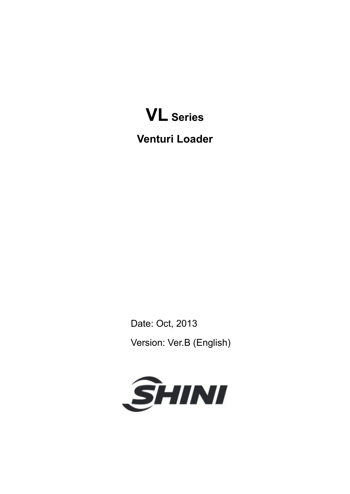

**Venturi Loader** 

Date: Oct, 2013 Version: Ver.B (English)

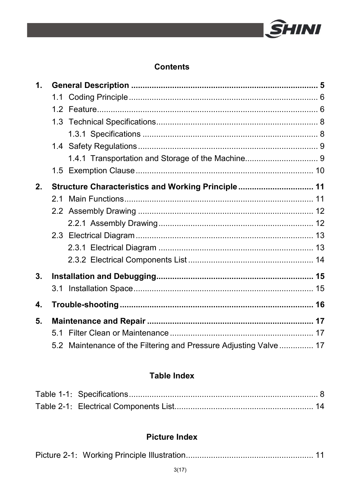

#### **Contents**

| 1. |                                                                   |  |
|----|-------------------------------------------------------------------|--|
|    |                                                                   |  |
|    |                                                                   |  |
|    |                                                                   |  |
|    |                                                                   |  |
|    |                                                                   |  |
|    |                                                                   |  |
|    |                                                                   |  |
| 2. | Structure Characteristics and Working Principle 11                |  |
|    | 21                                                                |  |
|    |                                                                   |  |
|    |                                                                   |  |
|    |                                                                   |  |
|    |                                                                   |  |
|    |                                                                   |  |
| 3. |                                                                   |  |
|    |                                                                   |  |
| 4. |                                                                   |  |
| 5. |                                                                   |  |
|    |                                                                   |  |
|    | 5.2 Maintenance of the Filtering and Pressure Adjusting Valve  17 |  |

### **Table Index**

### **Picture Index**

|--|--|--|--|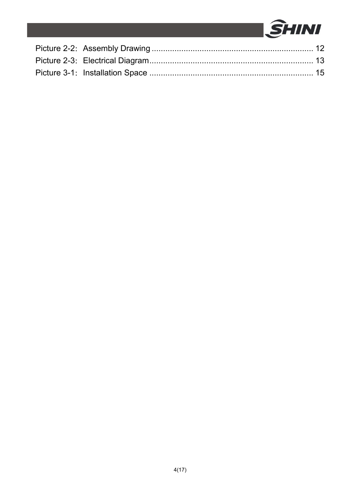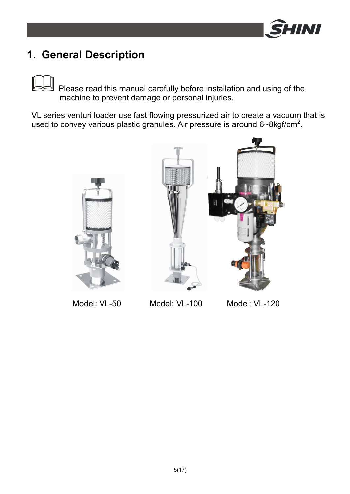

## **1. General Description**

Please read this manual carefully before installation and using of the machine to prevent damage or personal injuries.

VL series venturi loader use fast flowing pressurized air to create a vacuum that is used to convey various plastic granules. Air pressure is around  $6\nu 8\text{kgf/cm}^2$ .



Model: VL-50 Model: VL-100 Model: VL-120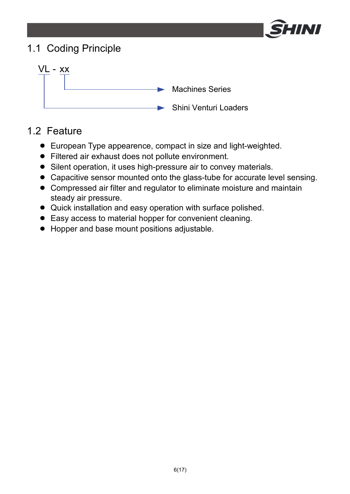

## 1.1 Coding Principle



### 1.2 Feature

- European Type appearence, compact in size and light-weighted.
- Filtered air exhaust does not pollute environment.
- Silent operation, it uses high-pressure air to convey materials.
- Capacitive sensor mounted onto the glass-tube for accurate level sensing.
- Compressed air filter and regulator to eliminate moisture and maintain steady air pressure.
- Quick installation and easy operation with surface polished.
- Easy access to material hopper for convenient cleaning.
- Hopper and base mount positions adjustable.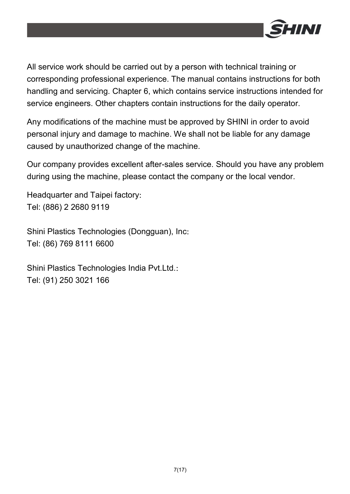

All service work should be carried out by a person with technical training or corresponding professional experience. The manual contains instructions for both handling and servicing. Chapter 6, which contains service instructions intended for service engineers. Other chapters contain instructions for the daily operator.

Any modifications of the machine must be approved by SHINI in order to avoid personal injury and damage to machine. We shall not be liable for any damage caused by unauthorized change of the machine.

Our company provides excellent after-sales service. Should you have any problem during using the machine, please contact the company or the local vendor.

Headquarter and Taipei factory: Tel: (886) 2 2680 9119

Shini Plastics Technologies (Dongguan), Inc: Tel: (86) 769 8111 6600

Shini Plastics Technologies India Pvt.Ltd.: Tel: (91) 250 3021 166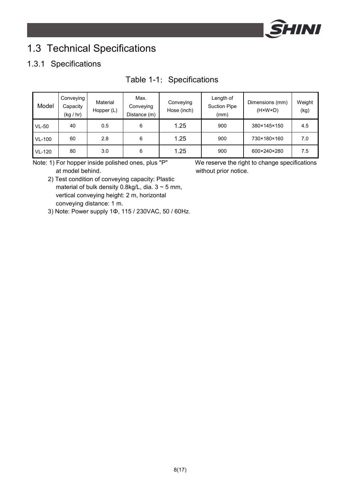

## 1.3 Technical Specifications

### 1.3.1 Specifications

| Model         | Conveying<br>Capacity<br>(kq / hr) | Material<br>Hopper (L) | Max.<br>Conveying<br>Distance (m) | Conveying<br>Hose (inch) | Length of<br><b>Suction Pipe</b><br>(mm) | Dimensions (mm)<br>$(H \times W \times D)$ | Weight<br>(kg) |
|---------------|------------------------------------|------------------------|-----------------------------------|--------------------------|------------------------------------------|--------------------------------------------|----------------|
| $VL-50$       | 40                                 | 0.5                    | 6                                 | 1.25                     | 900                                      | 380×145×150                                | 4.5            |
| <b>VL-100</b> | 60                                 | 2.8                    | 6                                 | 1.25                     | 900                                      | 730×180×160                                | 7.0            |
| <b>VL-120</b> | 80                                 | 3.0                    | 6                                 | 1.25                     | 900                                      | 600×240×280                                | 7.5            |

### Table 1-1: Specifications

Note: 1) For hopper inside polished ones, plus "P" We reserve the right to change specifications at model behind. When the state of the without prior notice.

 2) Test condition of conveying capacity: Plastic material of bulk density 0.8kg/L, dia.  $3 \sim 5$  mm, vertical conveying height: 2 m, horizontal conveying distance: 1 m.

3) Note: Power supply 1Φ, 115 / 230VAC, 50 / 60Hz.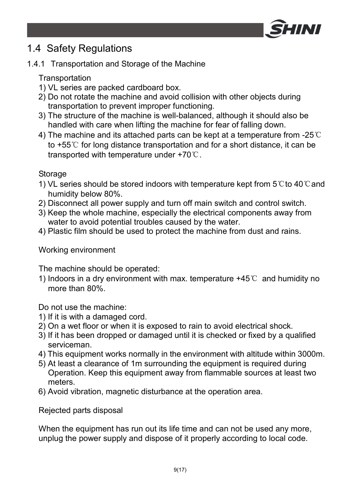

## 1.4 Safety Regulations

### 1.4.1 Transportation and Storage of the Machine

Transportation

- 1) VL series are packed cardboard box.
- 2) Do not rotate the machine and avoid collision with other objects during transportation to prevent improper functioning.
- 3) The structure of the machine is well-balanced, although it should also be handled with care when lifting the machine for fear of falling down.
- 4) The machine and its attached parts can be kept at a temperature from -25°C to +55℃ for long distance transportation and for a short distance, it can be transported with temperature under +70℃.

Storage

- 1) VL series should be stored indoors with temperature kept from 5℃to 40℃and humidity below 80%.
- 2) Disconnect all power supply and turn off main switch and control switch.
- 3) Keep the whole machine, especially the electrical components away from water to avoid potential troubles caused by the water.
- 4) Plastic film should be used to protect the machine from dust and rains.

#### Working environment

The machine should be operated:

1) Indoors in a dry environment with max. temperature +45℃ and humidity no more than 80%.

Do not use the machine:

- 1) If it is with a damaged cord.
- 2) On a wet floor or when it is exposed to rain to avoid electrical shock.
- 3) If it has been dropped or damaged until it is checked or fixed by a qualified serviceman.
- 4) This equipment works normally in the environment with altitude within 3000m.
- 5) At least a clearance of 1m surrounding the equipment is required during Operation. Keep this equipment away from flammable sources at least two meters.
- 6) Avoid vibration, magnetic disturbance at the operation area.

Rejected parts disposal

When the equipment has run out its life time and can not be used any more, unplug the power supply and dispose of it properly according to local code.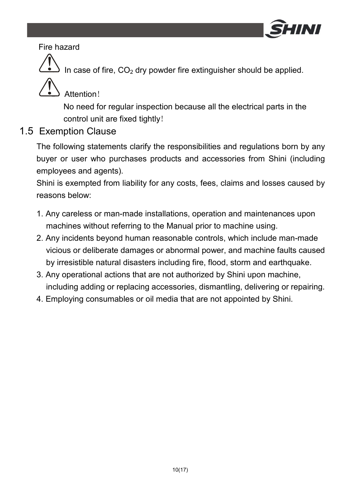

#### Fire hazard

In case of fire,  $CO<sub>2</sub>$  dry powder fire extinguisher should be applied.

### Attention!

No need for regular inspection because all the electrical parts in the control unit are fixed tightly!

### 1.5 Exemption Clause

The following statements clarify the responsibilities and regulations born by any buyer or user who purchases products and accessories from Shini (including employees and agents).

Shini is exempted from liability for any costs, fees, claims and losses caused by reasons below:

- 1. Any careless or man-made installations, operation and maintenances upon machines without referring to the Manual prior to machine using.
- 2. Any incidents beyond human reasonable controls, which include man-made vicious or deliberate damages or abnormal power, and machine faults caused by irresistible natural disasters including fire, flood, storm and earthquake.
- 3. Any operational actions that are not authorized by Shini upon machine, including adding or replacing accessories, dismantling, delivering or repairing.
- 4. Employing consumables or oil media that are not appointed by Shini.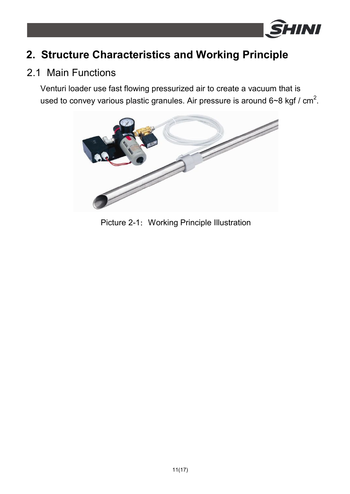

## **2. Structure Characteristics and Working Principle**

### 2.1 Main Functions

Venturi loader use fast flowing pressurized air to create a vacuum that is used to convey various plastic granules. Air pressure is around 6~8 kgf / cm<sup>2</sup>.



Picture 2-1: Working Principle Illustration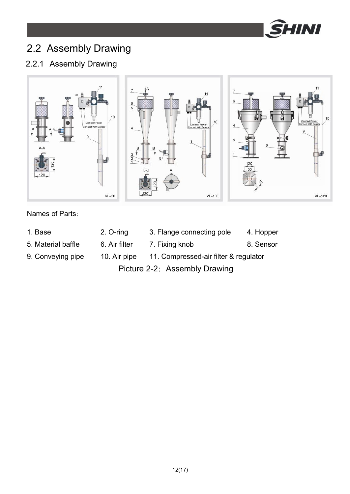

## 2.2 Assembly Drawing

### 2.2.1 Assembly Drawing



#### Names of Parts:

- 1. Base 2. O-ring 3. Flange connecting pole 4. Hopper
	-

5. Material baffle 6. Air filter 7. Fixing knob 8. Sensor

9. Conveying pipe 10. Air pipe 11. Compressed-air filter & regulator

Picture 2-2: Assembly Drawing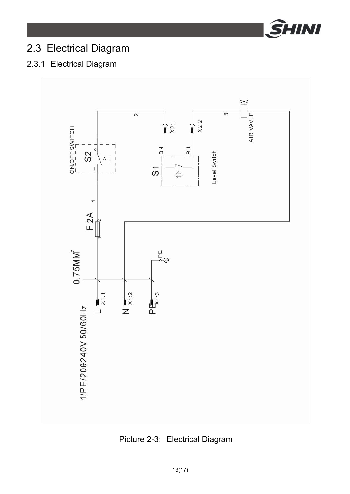

## 2.3 Electrical Diagram

### 2.3.1 Electrical Diagram



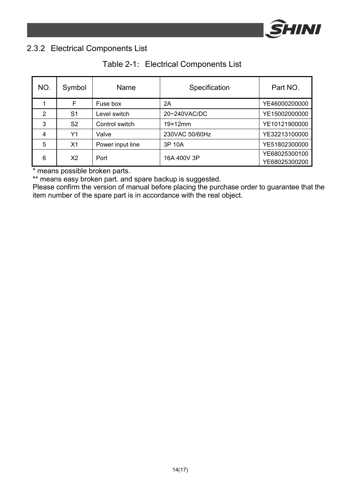

### 2.3.2 Electrical Components List

|  |  | Table 2-1: Electrical Components List |  |
|--|--|---------------------------------------|--|
|--|--|---------------------------------------|--|

| NO.            | Symbol         | Name             | Specification   | Part NO.                       |
|----------------|----------------|------------------|-----------------|--------------------------------|
|                | F              | Fuse box         | 2Α              | YE46000200000                  |
| $\overline{2}$ | S <sub>1</sub> | Level switch     | 20~240VAC/DC    | YE15002000000                  |
| 3              | S <sub>2</sub> | Control switch   | $19\times12$ mm | YE10121900000                  |
| 4              | Y1             | Valve            | 230VAC 50/60Hz  | YE32213100000                  |
| 5              | X <sub>1</sub> | Power input line | 3P 10A          | YE51802300000                  |
| 6              | X2             | Port             | 16A 400V 3P     | YE68025300100<br>YE68025300200 |

\* means possible broken parts.

\*\* means easy broken part. and spare backup is suggested.

Please confirm the version of manual before placing the purchase order to guarantee that the item number of the spare part is in accordance with the real object.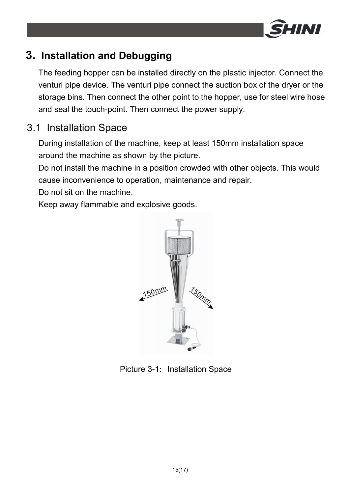

## **3. Installation and Debugging**

The feeding hopper can be installed directly on the plastic injector. Connect the venturi pipe device. The venturi pipe connect the suction box of the dryer or the storage bins. Then connect the other point to the hopper, use for steel wire hose and seal the touch-point. Then connect the power supply.

### 3.1 Installation Space

During installation of the machine, keep at least 150mm installation space around the machine as shown by the picture.

Do not install the machine in a position crowded with other objects. This would cause inconvenience to operation, maintenance and repair.

Do not sit on the machine.

Keep away flammable and explosive goods.



Picture 3-1: Installation Space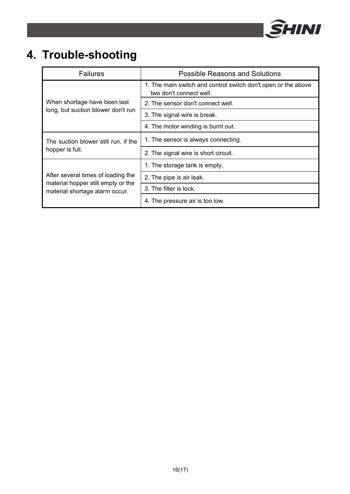

# **4. Trouble-shooting**

| <b>Failures</b>                                                      | <b>Possible Reasons and Solutions</b>                                                    |  |  |
|----------------------------------------------------------------------|------------------------------------------------------------------------------------------|--|--|
|                                                                      | 1. The main switch and control switch don't open or the above<br>two don't connect well. |  |  |
| When shortage have been last                                         | 2. The sensor don't connect well.                                                        |  |  |
| long, but suction blower don't run                                   | 3. The signal wire is break.                                                             |  |  |
|                                                                      | 4. The motor winding is burnt out.                                                       |  |  |
| The suction blower still run, if the                                 | 1. The sensor is always connecting.                                                      |  |  |
| hopper is full.                                                      | 2. The signal wire is short circuit.                                                     |  |  |
|                                                                      | 1. The storage tank is empty.                                                            |  |  |
| After several times of loading the                                   | 2. The pipe is air leak.                                                                 |  |  |
| material hopper still empty or the<br>material shortage alarm occur. | 3. The filter is lock.                                                                   |  |  |
|                                                                      | 4. The pressure air is too low.                                                          |  |  |